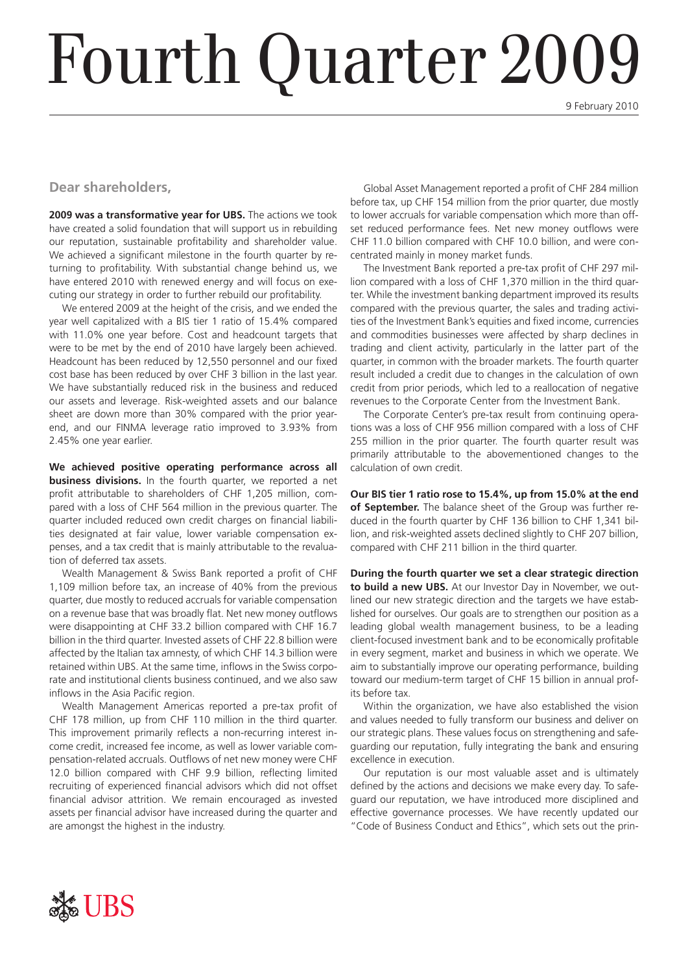# Fourth Quarter 2009

9 February 2010

#### **Dear shareholders,**

**2009 was a transformative year for UBS.** The actions we took have created a solid foundation that will support us in rebuilding our reputation, sustainable profitability and shareholder value. We achieved a significant milestone in the fourth quarter by returning to profitability. With substantial change behind us, we have entered 2010 with renewed energy and will focus on executing our strategy in order to further rebuild our profitability.

We entered 2009 at the height of the crisis, and we ended the year well capitalized with a BIS tier 1 ratio of 15.4% compared with 11.0% one year before. Cost and headcount targets that were to be met by the end of 2010 have largely been achieved. Headcount has been reduced by 12,550 personnel and our fixed cost base has been reduced by over CHF 3 billion in the last year. We have substantially reduced risk in the business and reduced our assets and leverage. Risk-weighted assets and our balance sheet are down more than 30% compared with the prior yearend, and our FINMA leverage ratio improved to 3.93% from 2.45% one year earlier.

**We achieved positive operating performance across all business divisions.** In the fourth quarter, we reported a net profit attributable to shareholders of CHF 1,205 million, compared with a loss of CHF 564 million in the previous quarter. The quarter included reduced own credit charges on financial liabilities designated at fair value, lower variable compensation expenses, and a tax credit that is mainly attributable to the revaluation of deferred tax assets.

Wealth Management & Swiss Bank reported a profit of CHF 1,109 million before tax, an increase of 40% from the previous quarter, due mostly to reduced accruals for variable compensation on a revenue base that was broadly flat. Net new money outflows were disappointing at CHF 33.2 billion compared with CHF 16.7 billion in the third quarter. Invested assets of CHF 22.8 billion were affected by the Italian tax amnesty, of which CHF 14.3 billion were retained within UBS. At the same time, inflows in the Swiss corporate and institutional clients business continued, and we also saw inflows in the Asia Pacific region.

Wealth Management Americas reported a pre-tax profit of CHF 178 million, up from CHF 110 million in the third quarter. This improvement primarily reflects a non-recurring interest income credit, increased fee income, as well as lower variable compensation-related accruals. Outflows of net new money were CHF 12.0 billion compared with CHF 9.9 billion, reflecting limited recruiting of experienced financial advisors which did not offset financial advisor attrition. We remain encouraged as invested assets per financial advisor have increased during the quarter and are amongst the highest in the industry.

Global Asset Management reported a profit of CHF 284 million before tax, up CHF 154 million from the prior quarter, due mostly to lower accruals for variable compensation which more than offset reduced performance fees. Net new money outflows were CHF 11.0 billion compared with CHF 10.0 billion, and were concentrated mainly in money market funds.

The Investment Bank reported a pre-tax profit of CHF 297 million compared with a loss of CHF 1,370 million in the third quarter. While the investment banking department improved its results compared with the previous quarter, the sales and trading activities of the Investment Bank's equities and fixed income, currencies and commodities businesses were affected by sharp declines in trading and client activity, particularly in the latter part of the quarter, in common with the broader markets. The fourth quarter result included a credit due to changes in the calculation of own credit from prior periods, which led to a reallocation of negative revenues to the Corporate Center from the Investment Bank.

The Corporate Center's pre-tax result from continuing operations was a loss of CHF 956 million compared with a loss of CHF 255 million in the prior quarter. The fourth quarter result was primarily attributable to the abovementioned changes to the calculation of own credit.

**Our BIS tier 1 ratio rose to 15.4%, up from 15.0% at the end of September.** The balance sheet of the Group was further reduced in the fourth quarter by CHF 136 billion to CHF 1,341 billion, and risk-weighted assets declined slightly to CHF 207 billion, compared with CHF 211 billion in the third quarter.

**During the fourth quarter we set a clear strategic direction to build a new UBS.** At our Investor Day in November, we outlined our new strategic direction and the targets we have established for ourselves. Our goals are to strengthen our position as a leading global wealth management business, to be a leading client-focused investment bank and to be economically profitable in every segment, market and business in which we operate. We aim to substantially improve our operating performance, building toward our medium-term target of CHF 15 billion in annual profits before tax.

Within the organization, we have also established the vision and values needed to fully transform our business and deliver on our strategic plans. These values focus on strengthening and safeguarding our reputation, fully integrating the bank and ensuring excellence in execution.

Our reputation is our most valuable asset and is ultimately defined by the actions and decisions we make every day. To safeguard our reputation, we have introduced more disciplined and effective governance processes. We have recently updated our "Code of Business Conduct and Ethics", which sets out the prin-

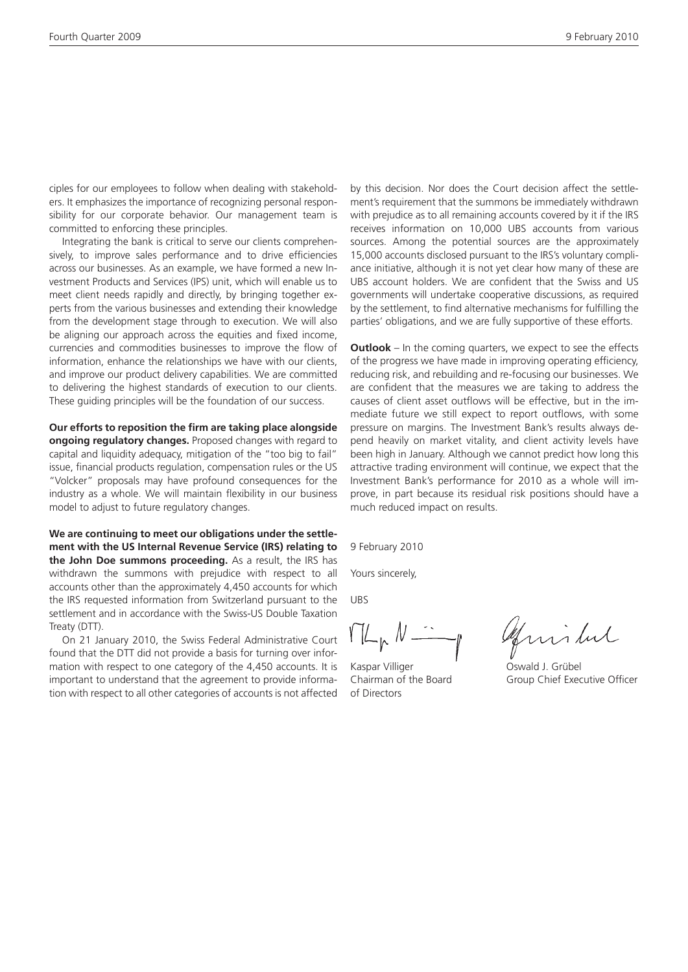ciples for our employees to follow when dealing with stakeholders. It emphasizes the importance of recognizing personal responsibility for our corporate behavior. Our management team is committed to enforcing these principles.

Integrating the bank is critical to serve our clients comprehensively, to improve sales performance and to drive efficiencies across our businesses. As an example, we have formed a new Investment Products and Services (IPS) unit, which will enable us to meet client needs rapidly and directly, by bringing together experts from the various businesses and extending their knowledge from the development stage through to execution. We will also be aligning our approach across the equities and fixed income, currencies and commodities businesses to improve the flow of information, enhance the relationships we have with our clients, and improve our product delivery capabilities. We are committed to delivering the highest standards of execution to our clients. These guiding principles will be the foundation of our success.

**Our efforts to reposition the firm are taking place alongside ongoing regulatory changes.** Proposed changes with regard to capital and liquidity adequacy, mitigation of the "too big to fail" issue, financial products regulation, compensation rules or the US "Volcker" proposals may have profound consequences for the industry as a whole. We will maintain flexibility in our business model to adjust to future regulatory changes.

**We are continuing to meet our obligations under the settlement with the US Internal Revenue Service (IRS) relating to the John Doe summons proceeding.** As a result, the IRS has withdrawn the summons with prejudice with respect to all accounts other than the approximately 4,450 accounts for which the IRS requested information from Switzerland pursuant to the settlement and in accordance with the Swiss-US Double Taxation Treaty (DTT).

On 21 January 2010, the Swiss Federal Administrative Court found that the DTT did not provide a basis for turning over information with respect to one category of the 4,450 accounts. It is important to understand that the agreement to provide information with respect to all other categories of accounts is not affected

by this decision. Nor does the Court decision affect the settlement's requirement that the summons be immediately withdrawn with prejudice as to all remaining accounts covered by it if the IRS receives information on 10,000 UBS accounts from various sources. Among the potential sources are the approximately 15,000 accounts disclosed pursuant to the IRS's voluntary compliance initiative, although it is not yet clear how many of these are UBS account holders. We are confident that the Swiss and US governments will undertake cooperative discussions, as required by the settlement, to find alternative mechanisms for fulfilling the parties' obligations, and we are fully supportive of these efforts.

**Outlook** – In the coming quarters, we expect to see the effects of the progress we have made in improving operating efficiency, reducing risk, and rebuilding and re-focusing our businesses. We are confident that the measures we are taking to address the causes of client asset outflows will be effective, but in the immediate future we still expect to report outflows, with some pressure on margins. The Investment Bank's results always depend heavily on market vitality, and client activity levels have been high in January. Although we cannot predict how long this attractive trading environment will continue, we expect that the Investment Bank's performance for 2010 as a whole will improve, in part because its residual risk positions should have a much reduced impact on results.

9 February 2010

Yours sincerely,

UBS

 $V/L_p$   $N-$ 

Kaspar Villiger Oswald J. Grübel of Directors

Guislut

Chairman of the Board Group Chief Executive Officer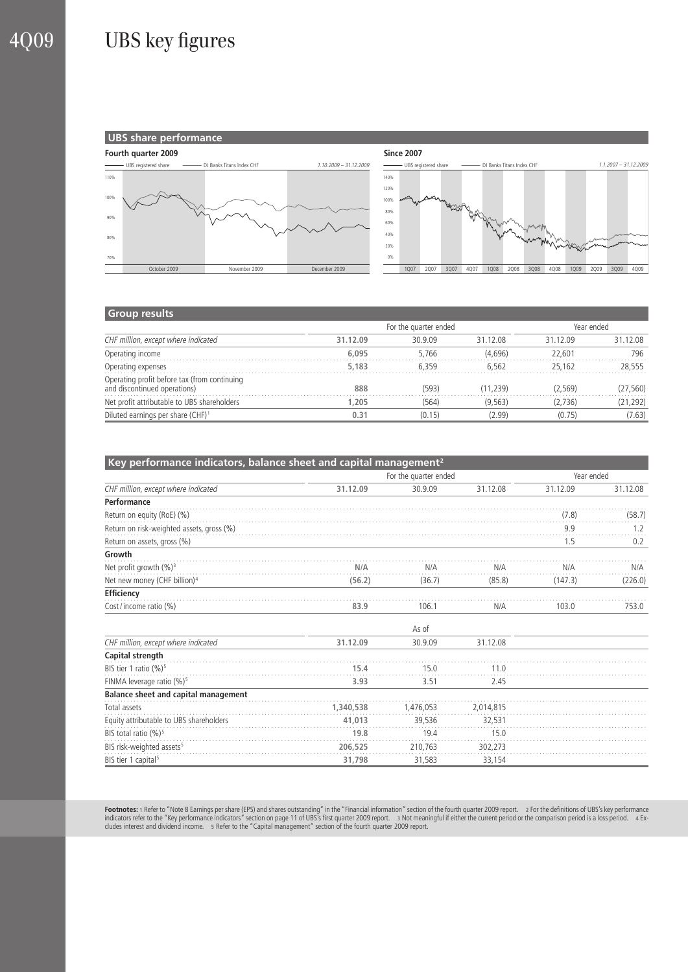## 4Q09 UBS key figures



#### **Group results**

| CHF million, except where indicated                                          |          | For the quarter ended | Year ended |          |           |
|------------------------------------------------------------------------------|----------|-----------------------|------------|----------|-----------|
|                                                                              | 31.12.09 | 30.9.09               | 31 12 08   | 31 12 09 | 31.12.08  |
| Operating income                                                             | 6.095    | 5.766                 | (4.696)    | 22.601   | 796       |
| Operating expenses                                                           | 5,183    | 6.359                 | 6.562      | 25.162   | 28.555    |
| Operating profit before tax (from continuing<br>and discontinued operations) | 888      | (593)                 | (11.239)   | (2.569)  | (27, 560) |
| Net profit attributable to UBS shareholders                                  | 1.205    | (564)                 | (9.563)    | (2.736)  | (21, 292) |
| Diluted earnings per share (CHF) <sup>1</sup>                                | 0.31     | (0.15)                | (2.99)     | (0.75)   | (7.63)    |

| Key performance indicators, balance sheet and capital management <sup>2</sup> |           |            |           |          |          |  |  |  |
|-------------------------------------------------------------------------------|-----------|------------|-----------|----------|----------|--|--|--|
| CHF million, except where indicated                                           |           | Year ended |           |          |          |  |  |  |
|                                                                               | 31.12.09  | 30.9.09    | 31.12.08  | 31.12.09 | 31.12.08 |  |  |  |
| Performance                                                                   |           |            |           |          |          |  |  |  |
| Return on equity (RoE) (%)                                                    |           |            |           | (7.8)    | (58.7)   |  |  |  |
| Return on risk-weighted assets, gross (%)                                     |           |            |           | 9.9      | 1.2      |  |  |  |
| Return on assets, gross (%)                                                   |           |            |           | 1.5      | 0.2      |  |  |  |
| Growth                                                                        |           |            |           |          |          |  |  |  |
| Net profit growth (%) <sup>3</sup>                                            | N/A       | N/A        | N/A       | N/A      | N/A      |  |  |  |
| Net new money (CHF billion) <sup>4</sup>                                      | (56.2)    | (36.7)     | (85.8)    | (147.3)  | (226.0)  |  |  |  |
| Efficiency                                                                    |           |            |           |          |          |  |  |  |
| Cost/income ratio (%)                                                         | 83.9      | 106.1      | N/A       | 103.0    | 753.0    |  |  |  |
|                                                                               |           | As of      |           |          |          |  |  |  |
| CHF million, except where indicated                                           | 31.12.09  | 30.9.09    | 31.12.08  |          |          |  |  |  |
| Capital strength                                                              |           |            |           |          |          |  |  |  |
| BIS tier 1 ratio (%) <sup>5</sup>                                             | 15.4      | 15.0       | 11.0      |          |          |  |  |  |
| FINMA leverage ratio (%) <sup>5</sup>                                         | 3.93      | 3.51       | 2.45      |          |          |  |  |  |
| Balance sheet and capital management                                          |           |            |           |          |          |  |  |  |
| Total assets                                                                  | 1,340,538 | 1,476,053  | 2,014,815 |          |          |  |  |  |
| Equity attributable to UBS shareholders                                       | 41,013    | 39.536     | 32,531    |          |          |  |  |  |
| BIS total ratio (%) <sup>5</sup>                                              | 19.8      | 19.4       | 15.0      |          |          |  |  |  |
| BIS risk-weighted assets <sup>5</sup>                                         | 206,525   | 210,763    | 302,273   |          |          |  |  |  |
| BIS tier 1 capital <sup>5</sup>                                               | 31,798    | 31,583     | 33,154    |          |          |  |  |  |

**Footnotes:** 1 Refer to "Note 8 Earnings per share (EPS) and shares outstanding" in the "Financial information" section of the fourth quarter 2009 report. 2 For the definitions of UBS's key performance<br>indicators refer to